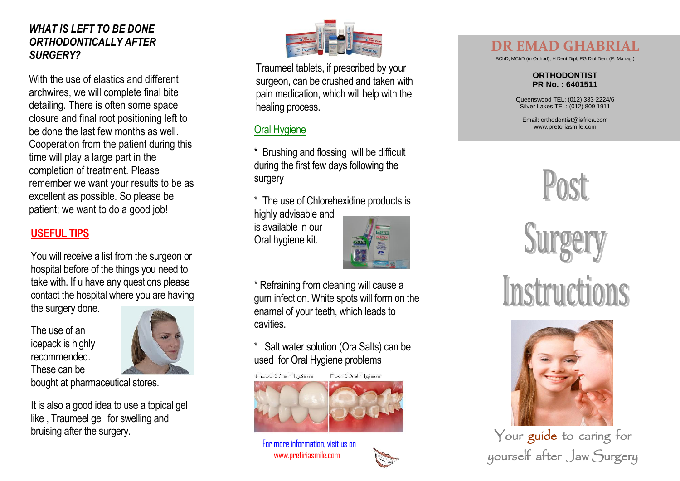#### *WHAT IS LEFT TO BE DONE ORTHODONTICALLY AFTER SURGERY?*

With the use of elastics and different archwires, we will complete final bite detailing. There is often some space closure and final root positioning left to be done the last few months as well. Cooperation from the patient during this time will play a large part in the completion of treatment. Please remember we want your results to be as excellent as possible. So please be patient; we want to do a good job!

### **USEFUL TIPS**

You will receive a list from the surgeon or hospital before of the things you need to take with. If u have any questions please contact the hospital where you are having the surgery done.

The use of an icepack is highly recommended. These can be



bought at pharmaceutical stores.

It is also a good idea to use a topical gel like , Traumeel gel for swelling and bruising after the surgery.



Traumeel tablets, if prescribed by your surgeon, can be crushed and taken with pain medication, which will help with the healing process.

## Oral Hygiene

- \* Brushing and flossing will be difficult during the first few days following the surgery
- \* The use of Chlorehexidine products is

highly advisable and is available in our Oral hygiene kit.



\* Refraining from cleaning will cause a gum infection. White spots will form on the enamel of your teeth, which leads to cavities.

### \* Salt water solution (Ora Salts) can be used for Oral Hygiene problems



For more information, visit us on

# **DR EMAD GHABRIAL**

BChD, MChD (in Orthod), H Dent Dipl, PG Dipl Dent (P. Manag.)

#### **ORTHODONTIST PR No. : 640151 1**

Queenswood TEL: (012) 333 -2224/6 Silver Lakes TEL: (012) 809 1911

Email[: orthodontist@iafrica.com](mailto:orthodontist@iafrica.com) www.pretoriasmile.com







Your guide to caring for yourself after Jaw Surgery